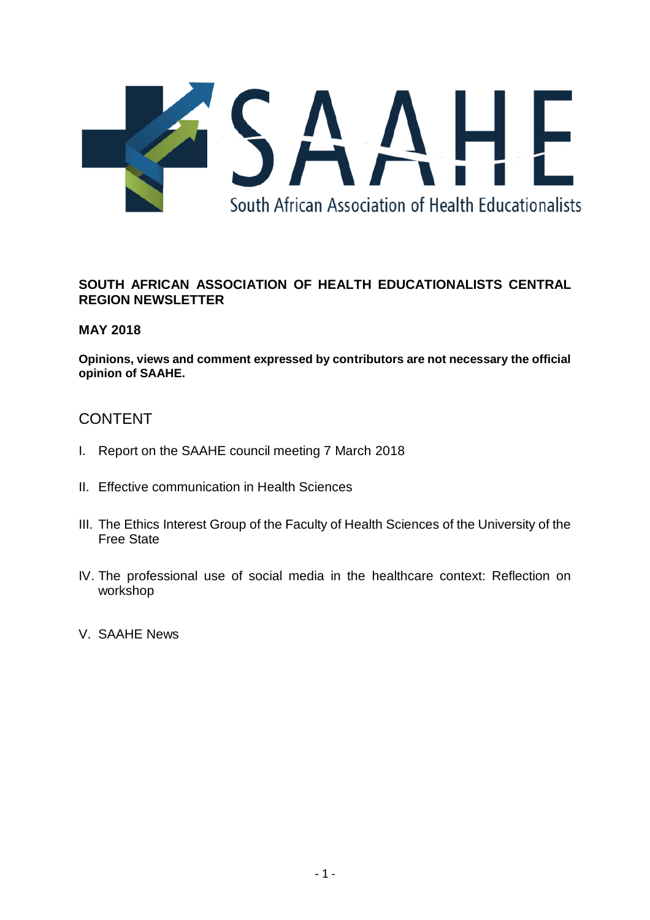

## **SOUTH AFRICAN ASSOCIATION OF HEALTH EDUCATIONALISTS CENTRAL REGION NEWSLETTER**

## **MAY 2018**

**Opinions, views and comment expressed by contributors are not necessary the official opinion of SAAHE.**

# CONTENT

- I. Report on the SAAHE council meeting 7 March 2018
- II. Effective communication in Health Sciences
- III. The Ethics Interest Group of the Faculty of Health Sciences of the University of the Free State
- IV. The professional use of social media in the healthcare context: Reflection on workshop
- V. SAAHE News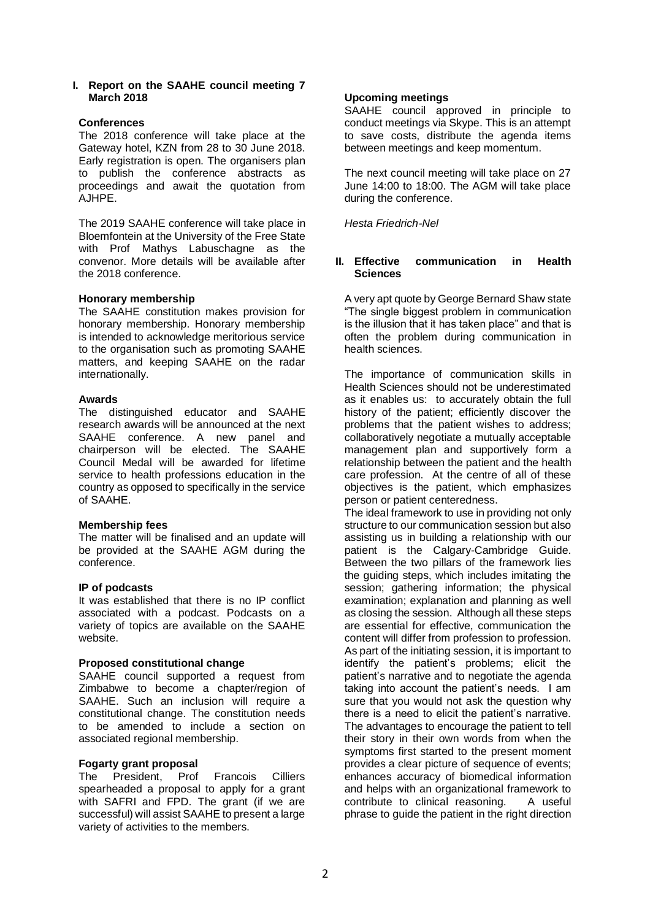#### **I. Report on the SAAHE council meeting 7 March 2018**

## **Conferences**

The 2018 conference will take place at the Gateway hotel, KZN from 28 to 30 June 2018. Early registration is open. The organisers plan to publish the conference abstracts as proceedings and await the quotation from AJHPE.

The 2019 SAAHE conference will take place in Bloemfontein at the University of the Free State with Prof Mathys Labuschagne as the convenor. More details will be available after the 2018 conference.

### **Honorary membership**

The SAAHE constitution makes provision for honorary membership. Honorary membership is intended to acknowledge meritorious service to the organisation such as promoting SAAHE matters, and keeping SAAHE on the radar internationally.

### **Awards**

The distinguished educator and SAAHE research awards will be announced at the next SAAHE conference. A new panel and chairperson will be elected. The SAAHE Council Medal will be awarded for lifetime service to health professions education in the country as opposed to specifically in the service of SAAHE.

## **Membership fees**

The matter will be finalised and an update will be provided at the SAAHE AGM during the conference.

## **IP of podcasts**

It was established that there is no IP conflict associated with a podcast. Podcasts on a variety of topics are available on the SAAHE website.

#### **Proposed constitutional change**

SAAHE council supported a request from Zimbabwe to become a chapter/region of SAAHE. Such an inclusion will require a constitutional change. The constitution needs to be amended to include a section on associated regional membership.

#### **Fogarty grant proposal**

The President, Prof Francois Cilliers spearheaded a proposal to apply for a grant with SAFRI and FPD. The grant (if we are successful) will assist SAAHE to present a large variety of activities to the members.

## **Upcoming meetings**

SAAHE council approved in principle to conduct meetings via Skype. This is an attempt to save costs, distribute the agenda items between meetings and keep momentum.

The next council meeting will take place on 27 June 14:00 to 18:00. The AGM will take place during the conference.

*Hesta Friedrich-Nel*

#### **II. Effective communication in Health Sciences**

A very apt quote by George Bernard Shaw state "The single biggest problem in communication is the illusion that it has taken place" and that is often the problem during communication in health sciences.

The importance of communication skills in Health Sciences should not be underestimated as it enables us: to accurately obtain the full history of the patient; efficiently discover the problems that the patient wishes to address; collaboratively negotiate a mutually acceptable management plan and supportively form a relationship between the patient and the health care profession. At the centre of all of these objectives is the patient, which emphasizes person or patient centeredness.

The ideal framework to use in providing not only structure to our communication session but also assisting us in building a relationship with our patient is the Calgary-Cambridge Guide. Between the two pillars of the framework lies the guiding steps, which includes imitating the session; gathering information; the physical examination; explanation and planning as well as closing the session. Although all these steps are essential for effective, communication the content will differ from profession to profession. As part of the initiating session, it is important to identify the patient's problems; elicit the patient's narrative and to negotiate the agenda taking into account the patient's needs. I am sure that you would not ask the question why there is a need to elicit the patient's narrative. The advantages to encourage the patient to tell their story in their own words from when the symptoms first started to the present moment provides a clear picture of sequence of events; enhances accuracy of biomedical information and helps with an organizational framework to contribute to clinical reasoning. A useful phrase to guide the patient in the right direction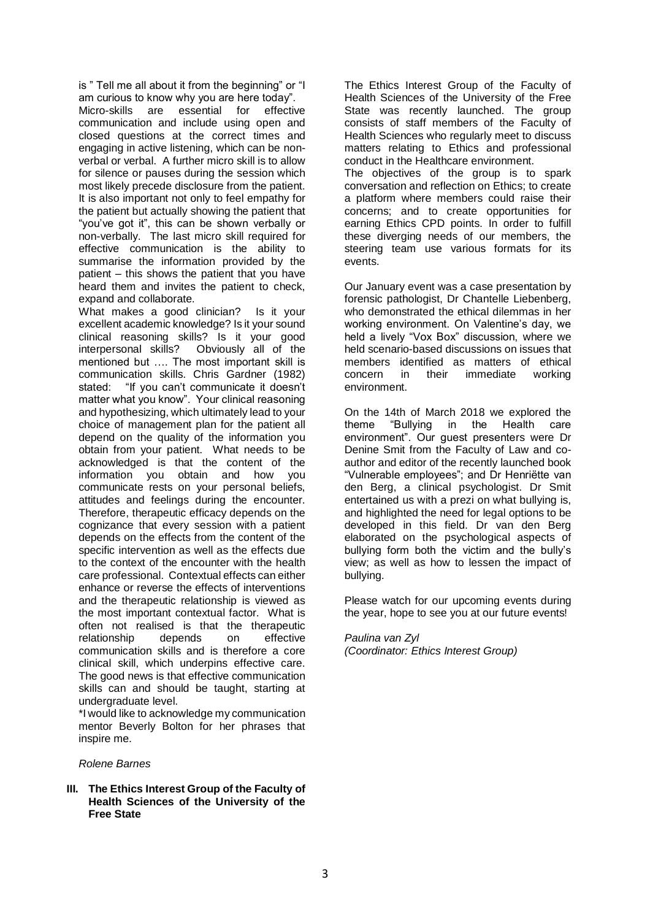is " Tell me all about it from the beginning" or "I am curious to know why you are here today". Micro-skills are essential for effective communication and include using open and closed questions at the correct times and engaging in active listening, which can be nonverbal or verbal. A further micro skill is to allow for silence or pauses during the session which most likely precede disclosure from the patient. It is also important not only to feel empathy for the patient but actually showing the patient that "you've got it", this can be shown verbally or non-verbally. The last micro skill required for effective communication is the ability to summarise the information provided by the patient – this shows the patient that you have heard them and invites the patient to check, expand and collaborate.

What makes a good clinician? Is it your excellent academic knowledge? Is it your sound clinical reasoning skills? Is it your good interpersonal skills? Obviously all of the mentioned but …. The most important skill is communication skills. Chris Gardner (1982) stated: "If you can't communicate it doesn't matter what you know". Your clinical reasoning and hypothesizing, which ultimately lead to your choice of management plan for the patient all depend on the quality of the information you obtain from your patient. What needs to be acknowledged is that the content of the information you obtain and how you communicate rests on your personal beliefs, attitudes and feelings during the encounter. Therefore, therapeutic efficacy depends on the cognizance that every session with a patient depends on the effects from the content of the specific intervention as well as the effects due to the context of the encounter with the health care professional. Contextual effects can either enhance or reverse the effects of interventions and the therapeutic relationship is viewed as the most important contextual factor. What is often not realised is that the therapeutic relationship depends on effective communication skills and is therefore a core clinical skill, which underpins effective care. The good news is that effective communication skills can and should be taught, starting at undergraduate level.

\*I would like to acknowledge my communication mentor Beverly Bolton for her phrases that inspire me.

#### *Rolene Barnes*

**III. The Ethics Interest Group of the Faculty of Health Sciences of the University of the Free State**

The Ethics Interest Group of the Faculty of Health Sciences of the University of the Free State was recently launched. The group consists of staff members of the Faculty of Health Sciences who regularly meet to discuss matters relating to Ethics and professional conduct in the Healthcare environment.

The objectives of the group is to spark conversation and reflection on Ethics; to create a platform where members could raise their concerns; and to create opportunities for earning Ethics CPD points. In order to fulfill these diverging needs of our members, the steering team use various formats for its events.

Our January event was a case presentation by forensic pathologist, Dr Chantelle Liebenberg, who demonstrated the ethical dilemmas in her working environment. On Valentine's day, we held a lively "Vox Box" discussion, where we held scenario-based discussions on issues that members identified as matters of ethical concern in their immediate working environment.

On the 14th of March 2018 we explored the theme "Bullying in the Health care environment". Our guest presenters were Dr Denine Smit from the Faculty of Law and coauthor and editor of the recently launched book "Vulnerable employees"; and Dr Henriëtte van den Berg, a clinical psychologist. Dr Smit entertained us with a prezi on what bullying is, and highlighted the need for legal options to be developed in this field. Dr van den Berg elaborated on the psychological aspects of bullying form both the victim and the bully's view; as well as how to lessen the impact of bullying.

Please watch for our upcoming events during the year, hope to see you at our future events!

#### *Paulina van Zyl*

*(Coordinator: Ethics Interest Group)*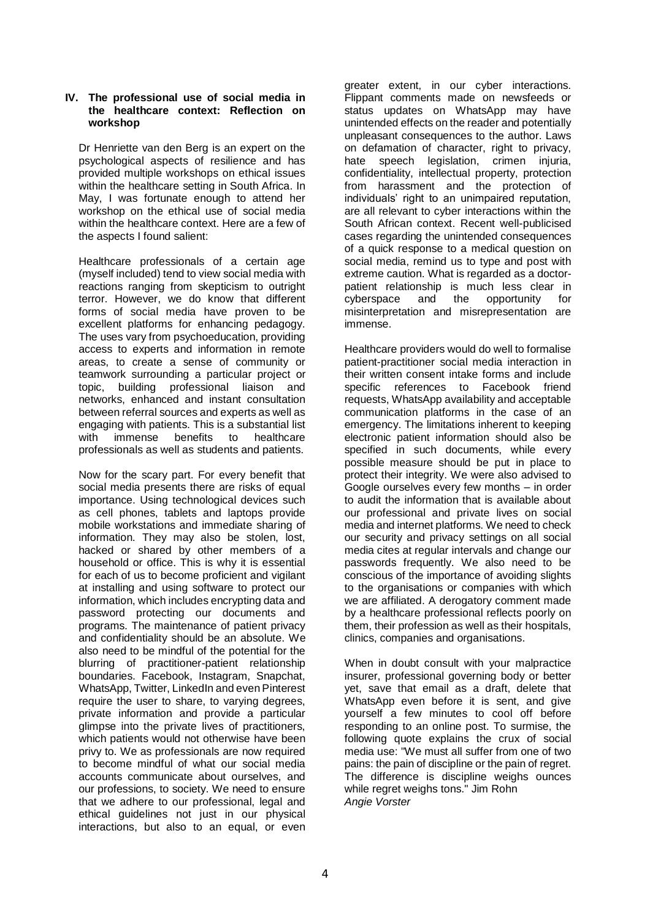#### **IV. The professional use of social media in the healthcare context: Reflection on workshop**

Dr Henriette van den Berg is an expert on the psychological aspects of resilience and has provided multiple workshops on ethical issues within the healthcare setting in South Africa. In May, I was fortunate enough to attend her workshop on the ethical use of social media within the healthcare context. Here are a few of the aspects I found salient:

Healthcare professionals of a certain age (myself included) tend to view social media with reactions ranging from skepticism to outright terror. However, we do know that different forms of social media have proven to be excellent platforms for enhancing pedagogy. The uses vary from psychoeducation, providing access to experts and information in remote areas, to create a sense of community or teamwork surrounding a particular project or topic, building professional liaison and networks, enhanced and instant consultation between referral sources and experts as well as engaging with patients. This is a substantial list with immense benefits to healthcare professionals as well as students and patients.

Now for the scary part. For every benefit that social media presents there are risks of equal importance. Using technological devices such as cell phones, tablets and laptops provide mobile workstations and immediate sharing of information. They may also be stolen, lost, hacked or shared by other members of a household or office. This is why it is essential for each of us to become proficient and vigilant at installing and using software to protect our information, which includes encrypting data and password protecting our documents and programs. The maintenance of patient privacy and confidentiality should be an absolute. We also need to be mindful of the potential for the blurring of practitioner-patient relationship boundaries. Facebook, Instagram, Snapchat, WhatsApp, Twitter, LinkedIn and even Pinterest require the user to share, to varying degrees, private information and provide a particular glimpse into the private lives of practitioners, which patients would not otherwise have been privy to. We as professionals are now required to become mindful of what our social media accounts communicate about ourselves, and our professions, to society. We need to ensure that we adhere to our professional, legal and ethical guidelines not just in our physical interactions, but also to an equal, or even

greater extent, in our cyber interactions. Flippant comments made on newsfeeds or status updates on WhatsApp may have unintended effects on the reader and potentially unpleasant consequences to the author. Laws on defamation of character, right to privacy, hate speech legislation, crimen injuria, confidentiality, intellectual property, protection from harassment and the protection of individuals' right to an unimpaired reputation, are all relevant to cyber interactions within the South African context. Recent well-publicised cases regarding the unintended consequences of a quick response to a medical question on social media, remind us to type and post with extreme caution. What is regarded as a doctorpatient relationship is much less clear in cyberspace and the opportunity for misinterpretation and misrepresentation are immense.

Healthcare providers would do well to formalise patient-practitioner social media interaction in their written consent intake forms and include specific references to Facebook friend requests, WhatsApp availability and acceptable communication platforms in the case of an emergency. The limitations inherent to keeping electronic patient information should also be specified in such documents, while every possible measure should be put in place to protect their integrity. We were also advised to Google ourselves every few months – in order to audit the information that is available about our professional and private lives on social media and internet platforms. We need to check our security and privacy settings on all social media cites at regular intervals and change our passwords frequently. We also need to be conscious of the importance of avoiding slights to the organisations or companies with which we are affiliated. A derogatory comment made by a healthcare professional reflects poorly on them, their profession as well as their hospitals, clinics, companies and organisations.

When in doubt consult with your malpractice insurer, professional governing body or better yet, save that email as a draft, delete that WhatsApp even before it is sent, and give yourself a few minutes to cool off before responding to an online post. To surmise, the following quote explains the crux of social media use: "We must all suffer from one of two pains: the pain of discipline or the pain of regret. The difference is discipline weighs ounces while regret weighs tons." Jim Rohn *Angie Vorster*